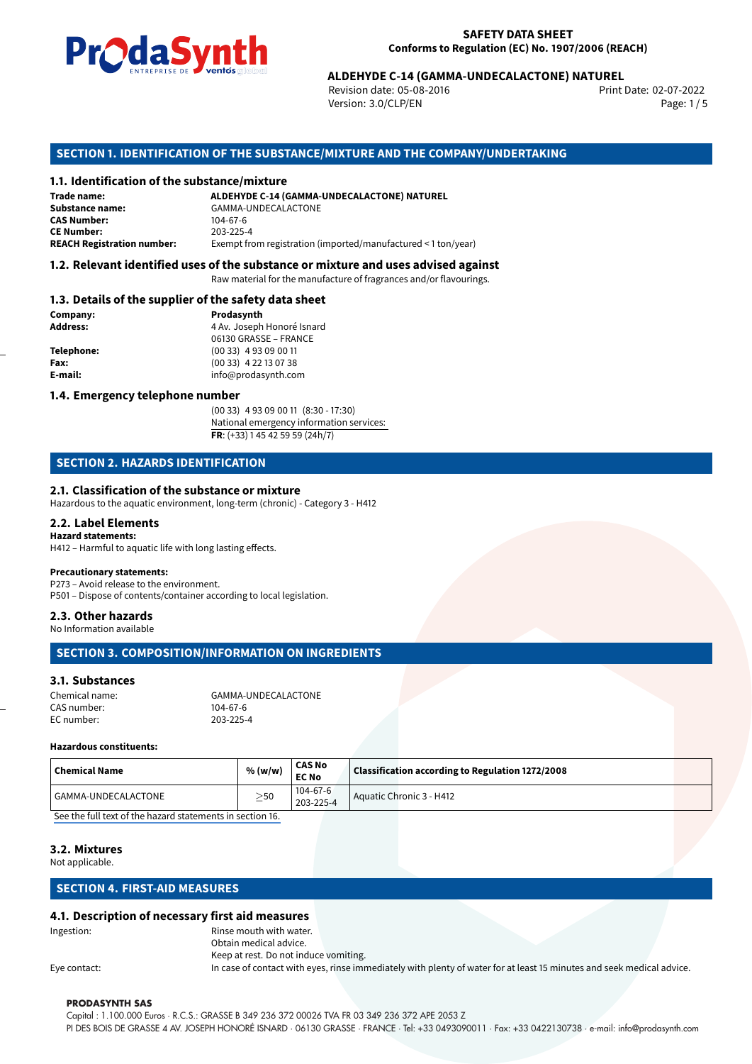

Revision date: 05-08-2016 Version: 3.0/CLP/EN Page: 1/5

Print Date: 02-07-2022

# **ALDEHYDE C-14 (GAMMA-UNDECALACTONE) NATUREL**<br>
Revision date: 05-08-2016<br>
Print<br>
Version: 3.0/CLP/EN<br> **OF THE SUBSTANCE/MIXTURE AND THE COMPANY/UNDERTAKING**<br> **ALDEHYDE C-14 (GAMMA-UNDECALACTONE) NATUREL SECTION 1. IDENTIFICATION OF THE SUBSTANCE/MIXTURE AND THE COMPANY/UNDERTAKING**

## **1.1. Identification of the substance/mixture**

| Trade name:                       | ALDEHYDE C-14 (GAMMA-UNDECALACTONE) NATUREL                   |  |  |
|-----------------------------------|---------------------------------------------------------------|--|--|
| Substance name:                   | GAMMA-UNDECALACTONE                                           |  |  |
| <b>CAS Number:</b>                | 104-67-6                                                      |  |  |
| <b>CE Number:</b>                 | 203-225-4                                                     |  |  |
| <b>REACH Registration number:</b> | Exempt from registration (imported/manufactured < 1 ton/year) |  |  |

## **1.2. Relevant identified uses of the substance or mixture and uses advised against**

Raw material for the manufacture of fragrances and/or flavourings.

#### **1.3. Details of the supplier of the safety data sheet**

| Company:          | Prodasynth                 |  |
|-------------------|----------------------------|--|
| <b>Address:</b>   | 4 Av. Joseph Honoré Isnard |  |
|                   | 06130 GRASSE - FRANCE      |  |
| <b>Telephone:</b> | $(0033)$ 4 93 09 00 11     |  |
| Fax:              | $(0033)$ 4 22 13 07 38     |  |
| E-mail:           | info@prodasynth.com        |  |
|                   |                            |  |

## **1.4. Emergency telephone number**

(00 33) 4 93 09 00 11 (8:30 - 17:30) National emergency information services: **FR**: (+33) 1 45 42 59 59 (24h/7)

## **SECTION 2. HAZARDS IDENTIFICATION**

#### **2.1. Classification of the substance or mixture**

Hazardous to the aquatic environment, long-term (chronic) - Category 3 - H412

#### **2.2. Label Elements Hazard statements:**

H412 – Harmful to aquatic life with long lasting effects.

## **Precautionary statements:**

P273 – Avoid release to the environment. P501 – Dispose of contents/container according to local legislation.

#### **2.3. Other hazards**

No Information available

## **SECTION 3. COMPOSITION/INFORMATION ON INGREDIENTS**

#### **3.1. Substances**

| Chemical name: | GAMMA-UNDECALACTONE |
|----------------|---------------------|
| CAS number:    | $104 - 67 - 6$      |
| EC number:     | 203-225-4           |

#### **Hazardous constituents:**

| Chemical Name       | % (w/w)   | <b>CAS No</b><br><b>EC No</b> | Classification according to Regulation 1272/2008 |  |
|---------------------|-----------|-------------------------------|--------------------------------------------------|--|
| GAMMA-UNDECALACTONE | $\geq$ 50 | $104 - 67 - 6$<br>203-225-4   | Aquatic Chronic 3 - H412                         |  |

[See the full text of the hazard statements in section 16.](#page--1-0)

## **3.2. Mixtures**

Not applicable.

## **SECTION 4. FIRST-AID MEASURES**

#### **4.1. Description of necessary first aid measures**

Ingestion: Rinse mouth with water. Obtain medical advice.

Keep at rest. Do not induce vomiting. Eye contact: In case of contact with eyes, rinse immediately with plenty of water for at least 15 minutes and seek medical advice.

#### **PRODASYNTH SAS**

Capital : 1.100.000 Euros · R.C.S.: GRASSE B 349 236 372 00026 TVA FR 03 349 236 372 APE 2053 Z PI DES BOIS DE GRASSE 4 AV. JOSEPH HONORÉ ISNARD · 06130 GRASSE · FRANCE · Tel: +33 0493090011 · Fax: +33 0422130738 · e-mail: info@prodasynth.com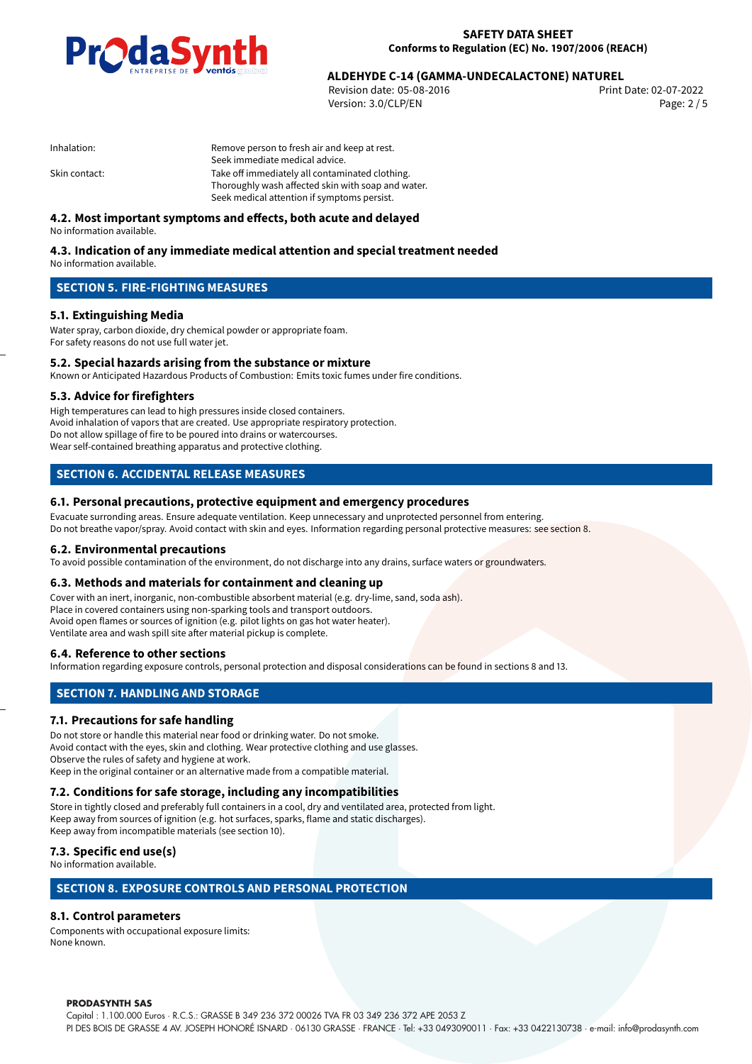

02-07-2022 **ALDEHYDE C-14 (GAMMA-UNDECALACTONE) NATUREL**

Revision date: 05-08-2016 Version: 3.0/CLP/EN Page: 2 / 5

| Inhalation: |  |
|-------------|--|
|-------------|--|

Remove person to fresh air and keep at rest. Seek immediate medical advice. Skin contact: Take off immediately all contaminated clothing. Thoroughly wash affected skin with soap and water. Seek medical attention if symptoms persist.

## **4.2. Most important symptoms and effects, both acute and delayed**

No information available.

#### **4.3. Indication of any immediate medical attention and special treatment needed** No information available.

## **SECTION 5. FIRE-FIGHTING MEASURES**

## **5.1. Extinguishing Media**

Water spray, carbon dioxide, dry chemical powder or appropriate foam. For safety reasons do not use full water jet.

## **5.2. Special hazards arising from the substance or mixture**

Known or Anticipated Hazardous Products of Combustion: Emits toxic fumes under fire conditions.

#### **5.3. Advice for firefighters**

High temperatures can lead to high pressures inside closed containers. Avoid inhalation of vapors that are created. Use appropriate respiratory protection. Do not allow spillage of fire to be poured into drains or watercourses. Wear self-contained breathing apparatus and protective clothing.

## **SECTION 6. ACCIDENTAL RELEASE MEASURES**

## **6.1. Personal precautions, protective equipment and emergency procedures**

Evacuate surronding areas. Ensure adequate ventilation. Keep unnecessary and unprotected personnel from entering. Do not breathe vapor/spray. Avoid contact with skin and eyes. Information regarding personal protective measures: see section 8.

#### **6.2. Environmental precautions**

To avoid possible contamination of the environment, do not discharge into any drains, surface waters or groundwaters.

## **6.3. Methods and materials for containment and cleaning up**

Cover with an inert, inorganic, non-combustible absorbent material (e.g. dry-lime, sand, soda ash). Place in covered containers using non-sparking tools and transport outdoors. Avoid open flames or sources of ignition (e.g. pilot lights on gas hot water heater). Ventilate area and wash spill site after material pickup is complete.

## **6.4. Reference to other sections**

Information regarding exposure controls, personal protection and disposal considerations can be found in sections 8 and 13.

## **SECTION 7. HANDLING AND STORAGE**

## **7.1. Precautions for safe handling**

Do not store or handle this material near food or drinking water. Do not smoke. Avoid contact with the eyes, skin and clothing. Wear protective clothing and use glasses. Observe the rules of safety and hygiene at work. Keep in the original container or an alternative made from a compatible material.

## **7.2. Conditions for safe storage, including any incompatibilities**

Store in tightly closed and preferably full containers in a cool, dry and ventilated area, protected from light. Keep away from sources of ignition (e.g. hot surfaces, sparks, flame and static discharges). Keep away from incompatible materials (see section 10).

## **7.3. Specific end use(s)**

No information available.

## **SECTION 8. EXPOSURE CONTROLS AND PERSONAL PROTECTION**

## **8.1. Control parameters**

Components with occupational exposure limits: None known.

#### **PRODASYNTH SAS**

Capital : 1.100.000 Euros · R.C.S.: GRASSE B 349 236 372 00026 TVA FR 03 349 236 372 APE 2053 Z PI DES BOIS DE GRASSE 4 AV. JOSEPH HONORÉ ISNARD · 06130 GRASSE · FRANCE · Tel: +33 0493090011 · Fax: +33 0422130738 · e-mail: info@prodasynth.com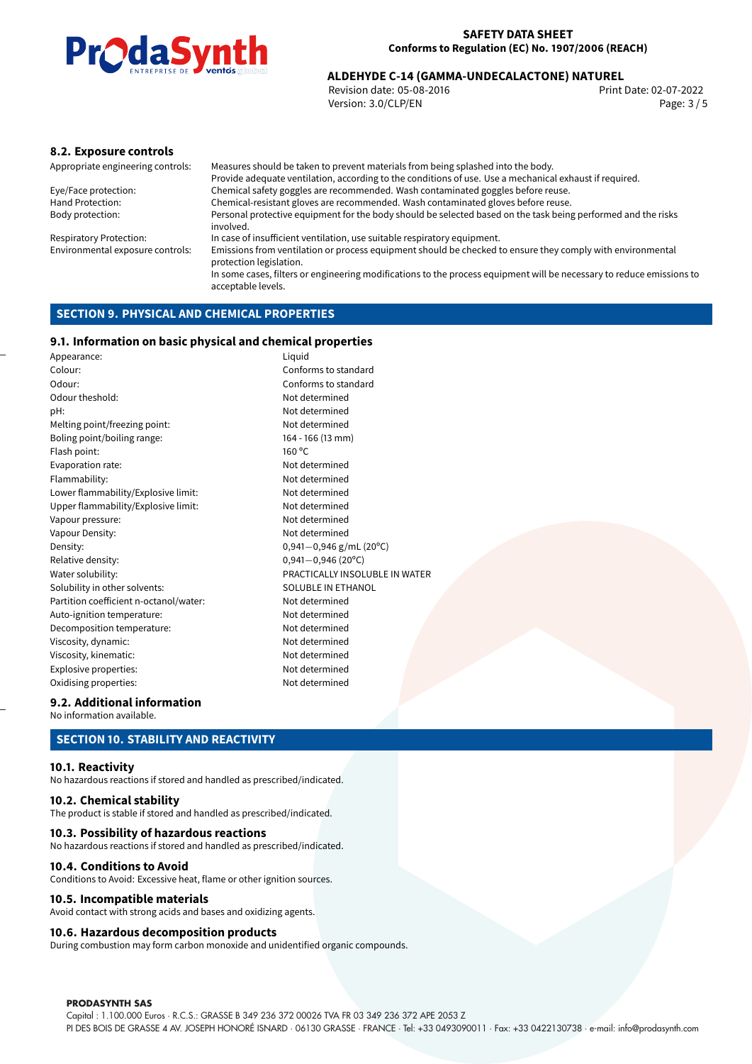

# 02-07-2022 **ALDEHYDE C-14 (GAMMA-UNDECALACTONE) NATUREL**

Revision date: 05-08-2016 Version: 3.0/CLP/EN Page: 3 / 5

## **8.2. Exposure controls**

Appropriate engineering controls: Measures should be taken to prevent materials from being splashed into the body. Provide adequate ventilation, according to the conditions of use. Use a mechanical exhaust if required. Eye/Face protection: Chemical safety goggles are recommended. Wash contaminated goggles before reuse. Hand Protection: Chemical-resistant gloves are recommended. Wash contaminated gloves before reuse.<br>Body protection: Personal protective equipment for the body should be selected based on the task being Personal protective equipment for the body should be selected based on the task being performed and the risks involved. Respiratory Protection: In case of insufficient ventilation, use suitable respiratory equipment. Environmental exposure controls: Emissions from ventilation or process equipment should be checked to ensure they comply with environmental protection legislation. In some cases, filters or engineering modifications to the process equipment will be necessary to reduce emissions to acceptable levels.

## **SECTION 9. PHYSICAL AND CHEMICAL PROPERTIES**

## **9.1. Information on basic physical and chemical properties**

Appearance: Liquid Colour: Conforms to standard Odour: Conforms to standard Odour theshold: Not determined pH: Not determined Melting point/freezing point: Not determined Boling point/boiling range: 164 - 166 (13 mm) Flash point: 160 ºC Evaporation rate: Not determined Flammability: Not determined Lower flammability/Explosive limit: Not determined Upper flammability/Explosive limit: Not determined Vapour pressure: Vapour pressure: Vapour Density: Not determined Density: 0,941−0,946 g/mL (20<sup>o</sup>C)<br>Relative density: 0,941−0,946 (20<sup>o</sup>C) Relative density: 0,941*−*0,946 (20ºC) Solubility in other solvents: SOLUBLE IN ETHANOL Partition coefficient n-octanol/water: Not determined Auto-ignition temperature: Not determined Decomposition temperature: Not determined Viscosity, dynamic: Not determined Viscosity, kinematic: Not determined Explosive properties: Not determined Oxidising properties: Not determined

PRACTICALLY INSOLUBLE IN WATER

## **9.2. Additional information**

No information available.

## **SECTION 10. STABILITY AND REACTIVITY**

#### **10.1. Reactivity**

No hazardous reactions if stored and handled as prescribed/indicated.

#### **10.2. Chemical stability**

The product is stable if stored and handled as prescribed/indicated.

#### **10.3. Possibility of hazardous reactions**

No hazardous reactions if stored and handled as prescribed/indicated.

#### **10.4. Conditions to Avoid**

Conditions to Avoid: Excessive heat, flame or other ignition sources.

#### **10.5. Incompatible materials**

Avoid contact with strong acids and bases and oxidizing agents.

#### **10.6. Hazardous decomposition products**

During combustion may form carbon monoxide and unidentified organic compounds.

#### **PRODASYNTH SAS**

Capital : 1.100.000 Euros · R.C.S.: GRASSE B 349 236 372 00026 TVA FR 03 349 236 372 APE 2053 Z PI DES BOIS DE GRASSE 4 AV. JOSEPH HONORÉ ISNARD · 06130 GRASSE · FRANCE · Tel: +33 0493090011 · Fax: +33 0422130738 · e-mail: info@prodasynth.com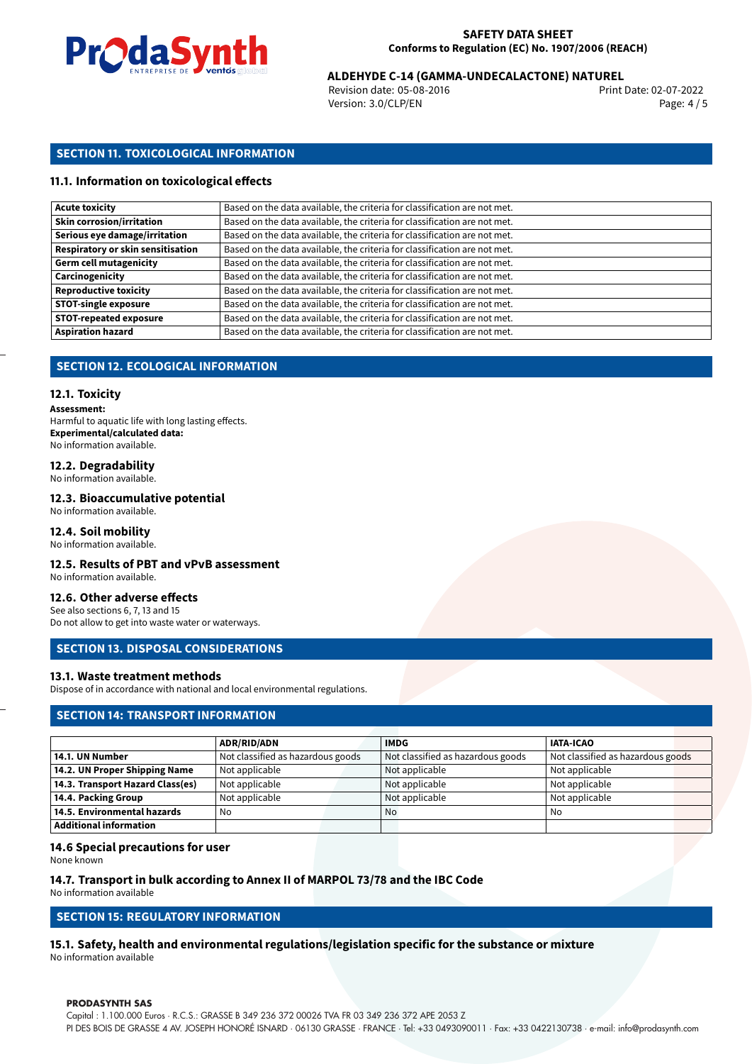

02-07-2022 **ALDEHYDE C-14 (GAMMA-UNDECALACTONE) NATUREL**

Revision date: 05-08-2016 Version: 3.0/CLP/EN Page: 4 / 5

## **SECTION 11. TOXICOLOGICAL INFORMATION**

## **11.1. Information on toxicological effects**

| <b>Acute toxicity</b>             | Based on the data available, the criteria for classification are not met. |
|-----------------------------------|---------------------------------------------------------------------------|
| <b>Skin corrosion/irritation</b>  | Based on the data available, the criteria for classification are not met. |
| Serious eye damage/irritation     | Based on the data available, the criteria for classification are not met. |
| Respiratory or skin sensitisation | Based on the data available, the criteria for classification are not met. |
| <b>Germ cell mutagenicity</b>     | Based on the data available, the criteria for classification are not met. |
| Carcinogenicity                   | Based on the data available, the criteria for classification are not met. |
| <b>Reproductive toxicity</b>      | Based on the data available, the criteria for classification are not met. |
| <b>STOT-single exposure</b>       | Based on the data available, the criteria for classification are not met. |
| <b>STOT-repeated exposure</b>     | Based on the data available, the criteria for classification are not met. |
| <b>Aspiration hazard</b>          | Based on the data available, the criteria for classification are not met. |

## **SECTION 12. ECOLOGICAL INFORMATION**

#### **12.1. Toxicity**

**Assessment:**

Harmful to aquatic life with long lasting effects. **Experimental/calculated data:** No information available.

## **12.2. Degradability**

No information available.

## **12.3. Bioaccumulative potential**

No information available.

## **12.4. Soil mobility**

No information available.

## **12.5. Results of PBT and vPvB assessment**

No information available.

## **12.6. Other adverse effects**

See also sections 6, 7, 13 and 15 Do not allow to get into waste water or waterways.

## **SECTION 13. DISPOSAL CONSIDERATIONS**

## **13.1. Waste treatment methods**

Dispose of in accordance with national and local environmental regulations.

## **SECTION 14: TRANSPORT INFORMATION**

|                                  | <b>ADR/RID/ADN</b>                | <b>IMDG</b>                       | <b>IATA-ICAO</b>                  |
|----------------------------------|-----------------------------------|-----------------------------------|-----------------------------------|
| 14.1. UN Number                  | Not classified as hazardous goods | Not classified as hazardous goods | Not classified as hazardous goods |
| 14.2. UN Proper Shipping Name    | Not applicable                    | Not applicable                    | Not applicable                    |
| 14.3. Transport Hazard Class(es) | Not applicable                    | Not applicable                    | Not applicable                    |
| 14.4. Packing Group              | Not applicable                    | Not applicable                    | Not applicable                    |
| 14.5. Environmental hazards      | No                                | No                                | No                                |
| <b>Additional information</b>    |                                   |                                   |                                   |

## **14.6 Special precautions for user**

None known

## **14.7. Transport in bulk according to Annex II of MARPOL 73/78 and the IBC Code**

No information available

## **SECTION 15: REGULATORY INFORMATION**

## **15.1. Safety, health and environmental regulations/legislation specific for the substance or mixture**

No information available

#### **PRODASYNTH SAS**